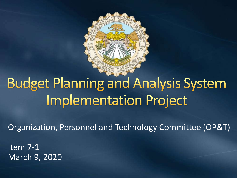

# **Budget Planning and Analysis System Implementation Project**

Organization, Personnel and Technology Committee (OP&T)

Item 7-1 March 9, 2020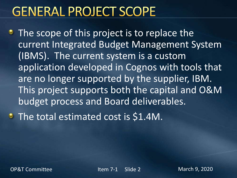#### **GENERAL PROJECT SCOPE**

- The scope of this project is to replace the current Integrated Budget Management System (IBMS). The current system is a custom application developed in Cognos with tools that are no longer supported by the supplier, IBM. This project supports both the capital and O&M budget process and Board deliverables.
- **The total estimated cost is \$1.4M.**

OP&T Committee The Item 7-1 Slide 2 March 9, 2020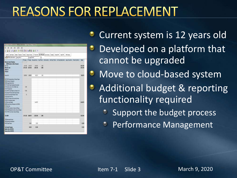## **REASONS FOR REPLACEMENT**

| a Let Jutano Jankov, 100 la Walston, Cascillano Cottuto                                                                                                                                                                        |           |                          |            |      |  |  |  |  |  |                                                                     |             |
|--------------------------------------------------------------------------------------------------------------------------------------------------------------------------------------------------------------------------------|-----------|--------------------------|------------|------|--|--|--|--|--|---------------------------------------------------------------------|-------------|
| <b>B</b> 30 30 30 30<br>ъ.                                                                                                                                                                                                     |           |                          |            |      |  |  |  |  |  |                                                                     |             |
| 198198800000055001                                                                                                                                                                                                             |           |                          |            |      |  |  |  |  |  |                                                                     |             |
| Senior Politican District Debton District Entrancement Collegation Laboratory Concerns (Testimo) Political Property (1985) and the College College College College College College College College College College College Col |           |                          |            |      |  |  |  |  |  |                                                                     |             |
| william Home + Wilson                                                                                                                                                                                                          |           | . Williams               |            | ٦    |  |  |  |  |  |                                                                     |             |
|                                                                                                                                                                                                                                |           |                          |            |      |  |  |  |  |  | Rical Dies Nobelst Notes Minutes and Chester or Anciental Northeast | ш           |
| <b>Rodo Nort fearing</b>                                                                                                                                                                                                       |           |                          |            |      |  |  |  |  |  |                                                                     |             |
| <b>COA Bustinia lines Facepot</b><br>Textilor                                                                                                                                                                                  |           | 1938 2908                | <b>IMM</b> | ш    |  |  |  |  |  |                                                                     | 190.98      |
| Mazdan Total                                                                                                                                                                                                                   |           | <b><i>LYLIX 2MIN</i></b> | 196.98     | 180  |  |  |  |  |  |                                                                     | 100.18      |
| Returns 1                                                                                                                                                                                                                      |           |                          |            |      |  |  |  |  |  |                                                                     |             |
| <b>Telepone</b>                                                                                                                                                                                                                |           |                          |            |      |  |  |  |  |  |                                                                     |             |
|                                                                                                                                                                                                                                |           |                          |            |      |  |  |  |  |  |                                                                     |             |
| <b>Mark</b>                                                                                                                                                                                                                    |           | IMIS INIS                | 解請         | ш    |  |  |  |  |  |                                                                     | 燃热          |
|                                                                                                                                                                                                                                |           |                          |            |      |  |  |  |  |  |                                                                     |             |
| <b>EERE</b> leeran at lang han                                                                                                                                                                                                 |           |                          |            |      |  |  |  |  |  |                                                                     |             |
| <b>EDS-rang Arsault</b>                                                                                                                                                                                                        |           |                          |            |      |  |  |  |  |  |                                                                     |             |
| <b>ETRI-Lugs New Zyes</b><br>ET. Nicol has busing burness                                                                                                                                                                      |           |                          |            |      |  |  |  |  |  |                                                                     |             |
| <b>UTS Director/An Litery Sec</b>                                                                                                                                                                                              | <b>UB</b> |                          |            |      |  |  |  |  |  |                                                                     |             |
| <b>EUVITABANE</b>                                                                                                                                                                                                              |           |                          |            |      |  |  |  |  |  |                                                                     |             |
| <b>MUNICIPALMENT</b>                                                                                                                                                                                                           | 116       |                          |            |      |  |  |  |  |  |                                                                     |             |
| ECS/horn faced this bas figure                                                                                                                                                                                                 |           |                          |            |      |  |  |  |  |  |                                                                     |             |
| <b>ECSAS henewic fessex frest</b>                                                                                                                                                                                              | 主         |                          |            |      |  |  |  |  |  |                                                                     |             |
| <b>EDEGENHAVE</b>                                                                                                                                                                                                              |           |                          |            |      |  |  |  |  |  |                                                                     |             |
| <b>ECONOMIAL AND RESERVE</b>                                                                                                                                                                                                   |           |                          |            |      |  |  |  |  |  |                                                                     |             |
| <b>ET20Ch Avenue Henr</b>                                                                                                                                                                                                      |           |                          |            |      |  |  |  |  |  |                                                                     |             |
| <b>E</b> SAN DO RAINE                                                                                                                                                                                                          |           |                          | 14235      |      |  |  |  |  |  |                                                                     | 14693       |
| <b>SERISING INVESTIGATION</b>                                                                                                                                                                                                  |           |                          |            |      |  |  |  |  |  |                                                                     |             |
| <b>ETCA/36</b><br>EGSS Comes lines at less                                                                                                                                                                                     |           |                          |            |      |  |  |  |  |  |                                                                     |             |
| <b>ITS IPS Associates for Discon firms</b>                                                                                                                                                                                     |           |                          |            |      |  |  |  |  |  |                                                                     |             |
| FOR AND Call Pay Design Prints                                                                                                                                                                                                 |           |                          |            |      |  |  |  |  |  |                                                                     |             |
|                                                                                                                                                                                                                                |           |                          |            |      |  |  |  |  |  |                                                                     |             |
| invita                                                                                                                                                                                                                         |           | 29158 23838              | 10136      | 1.00 |  |  |  |  |  |                                                                     | <b>10KM</b> |
| <b>ISS Month Ford</b>                                                                                                                                                                                                          |           |                          |            |      |  |  |  |  |  |                                                                     |             |
| <b>Rif Equery Instants</b>                                                                                                                                                                                                     |           |                          |            |      |  |  |  |  |  |                                                                     |             |
| <b>EDOLET</b> WA                                                                                                                                                                                                               |           | 301                      | Y35        |      |  |  |  |  |  |                                                                     | 実施          |
|                                                                                                                                                                                                                                |           |                          |            |      |  |  |  |  |  |                                                                     |             |
| Total Capital Fourses                                                                                                                                                                                                          |           | WAN                      | 16.50      |      |  |  |  |  |  |                                                                     | EE          |
| <b>Notice Bak \$100,000</b>                                                                                                                                                                                                    |           |                          |            |      |  |  |  |  |  |                                                                     |             |
| <b>Romer file &amp; SD CER</b>                                                                                                                                                                                                 |           |                          |            |      |  |  |  |  |  |                                                                     |             |

Current system is 12 years old Developed on a platform that cannot be upgraded

- Move to cloud-based system
- Additional budget & reporting functionality required
	- **Support the budget process**
	- *C* Performance Management

OP&T Committee Item 7-1 Slide 3 March 9, 2020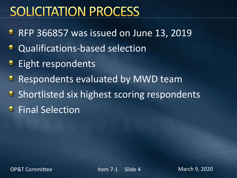# SOLICITATION PROCESS

- **RFP 366857 was issued on June 13, 2019**
- **C** Qualifications-based selection
- **•** Eight respondents
- **Respondents evaluated by MWD team**
- **Shortlisted six highest scoring respondents**
- *C* Final Selection

OP&T Committee The Item 7-1 Slide 4 March 9, 2020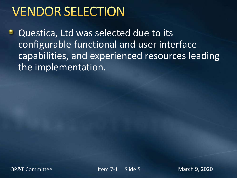#### **VENDOR SELECTION**

Questica, Ltd was selected due to its configurable functional and user interface capabilities, and experienced resources leading the implementation.

OP&T Committee The Item 7-1 Slide 5 March 9, 2020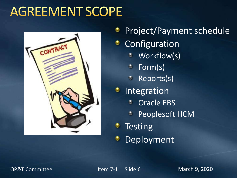# **AGREEMENT SCOPE**



Project/Payment schedule

- Configuration
	- Workflow(s)
	- Form(s)
	- Reports(s)
- Integration
	- Oracle EBS
	- Peoplesoft HCM
- **Testing**
- Deployment

OP&T Committee The Item 7-1 Slide 6 March 9, 2020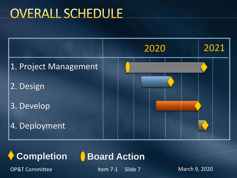# **OVERALL SCHEDULE**







OP&T Committee The Item 7-1 Slide 7 March 9, 2020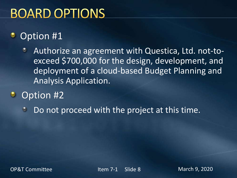## **BOARD OPTIONS**

#### Option #1 c

Authorize an agreement with Questica, Ltd. not-to- $\circ$ exceed \$700,000 for the design, development, and deployment of a cloud-based Budget Planning and Analysis Application.

 $\bullet$ Option #2

> Do not proceed with the project at this time. $\bullet$

OP&T Committee Item 7-1 Slide 8 March 9, 2020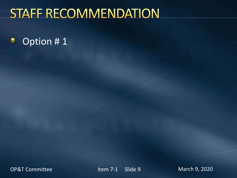#### STAFF RECOMMENDATION

#### Option # 1۰

OP&T Committee The Item 7-1 Slide 9 March 9, 2020